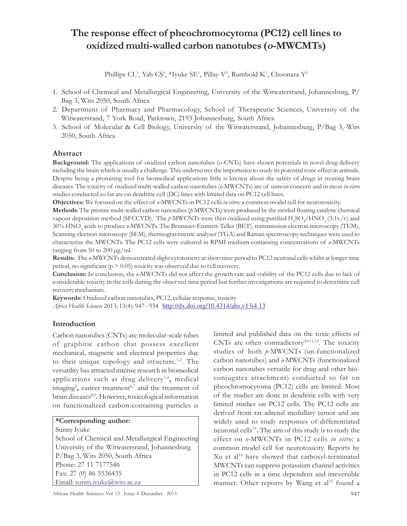# The response effect of pheochromocytoma (PC12) cell lines to oxidized multi-walled carbon nanotubes (o-MWCMTs)

Phillips CL<sup>1</sup>, Yah CS<sup>1</sup>, \*Iyuke SE<sup>1</sup>, Pillay V<sup>2</sup>, Rumbold K<sup>3</sup>, Choonara Y<sup>2</sup>

- 1. School of Chemical and Metallurgical Engineering, University of the Witwatersrand, Johannesburg, P/ Bag 3, Wits 2050, South Africa
- 2. Department of Pharmacy and Pharmacology, School of Therapeutic Sciences, University of the Witwatersrand, 7 York Road, Parktown, 2193 Johannesburg, South Africa
- 3. School of Molecular & Cell Biology, University of the Witwatersrand, Johannesburg, P/Bag 3, Wits 2050, South Africa

# Abstract

Background: The applications of oxidized carbon nanotubes (o-CNTs) have shown potentials in novel drug delivery including the brain which is usually a challenge. This underscores the importance to study its potential toxic effect in animals. Despite being a promising tool for biomedical applications little is known about the safety of drugs in treating brain diseases. The toxicity of oxidized multi-walled carbon nanotubes (o-MWCNTs) are of utmost concern and in most in-vitro studies conducted so far are on dendritic cell (DC) lines with limited data on PC12 cell lines.

Objectives: We focused on the effect of  $\theta$ -MWCNTs in PC12 cells in vitro: a common model cell for neurotoxicity.

Methods: The pristine multi-walled carbon nanotubes (p-MWCNTs) were produced by the swirled floating catalytic chemical vapour deposition method (SFCCVD). The p-MWCNTs were then oxidized using purified  $\rm{H_2SO_4/HNO_3}$  (3:1v/v) and 30% HNO<sub>3</sub> acids to produce *o-*MWCNTs. The Brunauer-Emmett-Teller (BET), transmission electron microscopy (TEM), Scanning electron microscopy (SEM), thermogravimetric analyser (TGA) and Raman spectroscopy techniques were used to characterize the MWCNTs. The PC12 cells were cultured in RPMI medium containing concentrations of o-MWCNTs ranging from 50 to 200  $\mu$ g/ml.

Results: The  $\theta$ -MWCNTs demonstrated slight cytotoxicity at short time period to PC12 neuronal cells whilst at longer time period, no significant ( $p > 0.05$ ) toxicity was observed due to cell recovery.

Conclusion: In conclusion, the  $o$ -MWCNTs did not affect the growth rate and viability of the PC12 cells due to lack of considerable toxicity in the cells during the observed time period but further investigations are required to determine cell recovery mechanism.

Keywords: Oxidized carbon nanotubes, PC12, cellular response, toxicity

Africa Health Sciences 2013; 13(4): 947 - 954 http://dx.doi.org/10.4314/ahs.v13i4.13

# Introduction

Carbon nanotubes (CNTs) are molecular-scale tubes of graphitic carbon that possess excellent mechanical, magnetic and electrical properties due to their unique topology and structure.<sup>1,2</sup>. The versatility has attracted intense research in biomedical applications such as drug delivery<sup>3,4</sup>, medical imaging<sup>5</sup>, cancer treatment<sup>6,7</sup> and the treatment of brain diseases<sup>8,9</sup>. However, toxicological information on functionalized carbon-containing particles is

#### \*Corresponding author:

Sunny Iyuke

School of Chemical and Metallurgical Engineering University of the Witwatersrand, Johannesburg P/Bag 3, Wits 2050, South Africa Phone: 27 11 7177546 Fax: 27 (0) 86 5536435 Email: sunny.iyuke@wits.ac.za

limited and published data on the toxic effects of CNTs are often contradictory<sup>10,11,12</sup>. The toxicity studies of both p-MWCNTs (un-functionalized carbon nanotubes) and o-MWCNTs (functionalized carbon nanotubes versatile for drug and other bioconjugates attachment) conducted so far on pheochromocytoma (PC12) cells are limited. Most of the studies are done in dendritic cells with very limited studies on PC12 cells. The PC12 cells are derived from rat adrenal medullary tumor and are widely used to study responses of differentiated neuronal cells<sup>13</sup>. The aim of this study is to study the effect on o-MWCNTs in PC12 cells in vitro: a common model cell for neurotoxicity. Reports by Xu et al<sup>14</sup> have showed that carboxyl-terminated MWCNTs can suppress potassium channel activities in PC12 cells in a time dependent and irreversible manner. Other reports by Wang et al<sup>15</sup> found a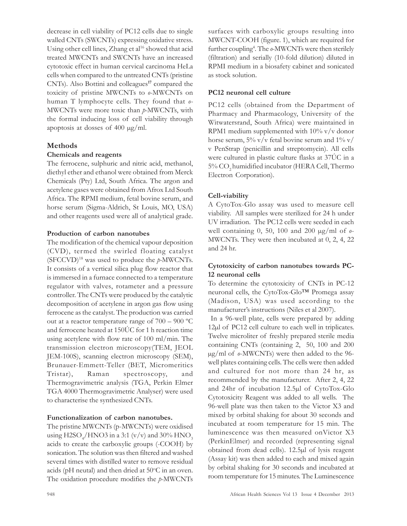decrease in cell viability of PC12 cells due to single walled CNTs (SWCNTs) expressing oxidative stress. Using other cell lines, Zhang et al<sup>16</sup> showed that acid treated MWCNTs and SWCNTs have an increased cytotoxic effect in human cervical carcinoma HeLa cells when compared to the untreated CNTs (pristine CNTs). Also Bottini and colleagues<sup>17</sup> compared the toxicity of pristine MWCNTs to o-MWCNTs on human T lymphocyte cells. They found that  $\theta$ -MWCNTs were more toxic than p-MWCNTs, with the formal inducing loss of cell viability through apoptosis at dosses of 400 µg/ml.

#### Methods

#### Chemicals and reagents

The ferrocene, sulphuric and nitric acid, methanol, diethyl ether and ethanol were obtained from Merck Chemicals (Pty) Ltd, South Africa. The argon and acetylene gases were obtained from Afrox Ltd South Africa. The RPMI medium, fetal bovine serum, and horse serum (Sigma-Aldrich, St Louis, MO, USA) and other reagents used were all of analytical grade.

#### Production of carbon nanotubes

The modification of the chemical vapour deposition (CVD), termed the swirled floating catalyst  $(SFCCVD)^{18}$  was used to produce the  $p$ -MWCNTs. It consists of a vertical silica plug flow reactor that is immersed in a furnace connected to a temperature regulator with valves, rotameter and a pressure controller. The CNTs were produced by the catalytic decomposition of acetylene in argon gas flow using ferrocene as the catalyst. The production was carried out at a reactor temperature range of 700 – 900 ºC and ferrocene heated at 150ÚC for 1 h reaction time using acetylene with flow rate of 100 ml/min. The transmission electron microscopy(TEM, JEOL JEM-100S), scanning electron microscopy (SEM), Brunauer-Emmett-Teller (BET, Micromeritics Tristar), Raman spectroscopy, and Thermogravimetric analysis (TGA, Perkin Elmer TGA 4000 Thermogravimetric Analyser) were used to characterise the synthesized CNTs.

#### Functionalization of carbon nanotubes.

The pristine MWCNTs (p-MWCNTs) were oxidised using  $\text{H2SO}_4/\text{HNO3}$  in a 3:1 (v/v) and 30%  $\text{HNO}_3$ acids to create the carboxylic groups (-COOH) by sonication. The solution was then filtered and washed several times with distilled water to remove residual acids (pH neutal) and then dried at  $50^{\circ}$ C in an oven. The oxidation procedure modifies the p-MWCNTs surfaces with carboxylic groups resulting into MWCNT-COOH (figure. 1), which are required for further coupling<sup>4</sup>. The  $o$ -MWCNTs were then sterilely (filtration) and serially (10-fold dilution) diluted in RPMI medium in a biosafety cabinet and sonicated as stock solution.

#### PC12 neuronal cell culture

PC12 cells (obtained from the Department of Pharmacy and Pharmacology, University of the Witwatersrand, South Africa) were maintained in RPM1 medium supplemented with 10% v/v donor horse serum,  $5\%$  v/v fetal bovine serum and  $1\%$  v/ v PenStrap (penicillin and streptomycin). All cells were cultured in plastic culture flasks at 37ÚC in a 5% CO<sub>2</sub> humidified incubator (HERA Cell, Thermo Electron Corporation).

#### Cell-viability

A CytoTox-Glo assay was used to measure cell viability. All samples were sterilized for 24 h under UV irradiation. The PC12 cells were seeded in each well containing 0, 50, 100 and 200  $\mu$ g/ml of  $\theta$ -MWCNTs. They were then incubated at 0, 2, 4, 22 and 24 hr.

## Cytotoxicity of carbon nanotubes towards PC-12 neuronal cells

To determine the cytotoxicity of CNTs in PC-12 neuronal cells, the CytoTox-Glo™ Promega assay (Madison, USA) was used according to the manufacturer's instructions (Niles et al 2007).

 In a 96-well plate, cells were prepared by adding 12µl of PC12 cell culture to each well in triplicates. Twelve microliter of freshly prepared sterile media containing CNTs (containing 2, 50, 100 and 200 µg/ml of o-MWCNTs) were then added to the 96 well plates containing cells. The cells were then added and cultured for not more than 24 hr, as recommended by the manufacturer. After 2, 4, 22 and 24hr of incubation 12.5µl of CytoTox-Glo Cytotoxicity Reagent was added to all wells. The 96-well plate was then taken to the Victor X3 and mixed by orbital shaking for about 30 seconds and incubated at room temperature for 15 min. The luminescence was then measured onVictor X3 (PerkinElmer) and recorded (representing signal obtained from dead cells). 12.5µl of lysis reagent (Assay kit) was then added to each and mixed again by orbital shaking for 30 seconds and incubated at room temperature for 15 minutes. The Luminescence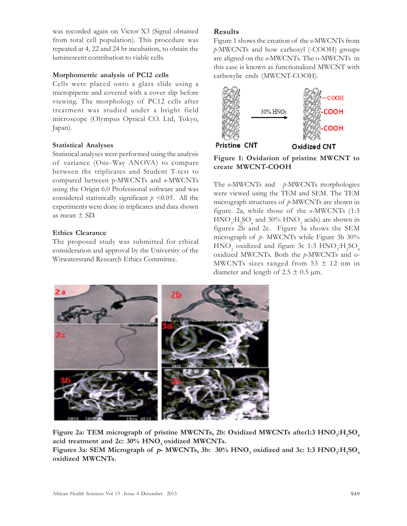was recorded again on Victor X3 (Signal obtained from total cell population). This procedure was repeated at 4, 22 and 24 hr incubation, to obtain the luminescent contribution to viable cells.

## Morphometric analysis of PC12 cells

Cells were placed onto a glass slide using a micropipette and covered with a cover slip before viewing. The morphology of PC12 cells after treatment was studied under a bright field microscope (Olympus Optical CO. Ltd, Tokyo, Japan).

# Statistical Analyses

Statistical analyses were performed using the analysis of variance (One-Way ANOVA) to compare between the triplicates and Student T-test to compared between p-MWCNTs and o-MWCNTs using the Origin 6.0 Professional software and was considered statistically significant  $p \le 0.05$ . All the experiments were done in triplicates and data shown as mean ± SD.

# Ethics Clearance

The proposed study was submitted for ethical consideration and approval by the University of the Witwatersrand Research Ethics Committee.

# Results

Figure 1 shows the creation of the o-MWCNTs from p-MWCNTs and how carboxyl (-COOH) groups are aligned on the o-MWCNTs. The o-MWCNTs in this case is known as functionalized MWCNT with carboxylic ends (MWCNT-COOH).



Figure 1: Oxidation of pristine MWCNT to create MWCNT-COOH

The  $\rho$ -MWCNTs and  $\rho$ -MWCNTs morphologies were viewed using the TEM and SEM. The TEM micrograph structures of p-MWCNTs are shown in figure. 2a, while those of the  $\theta$ -MWCNTs (1:3)  $\text{HNO}_{3}:\text{H}_{2}\text{SO}_{4}$  and 30%  $\text{HNO}_{3}$  acids) are shown in figures 2b and 2c. Figure 3a shows the SEM micrograph of p- MWCNTs while Figure 3b 30%  $HNO<sub>3</sub>$  oxidized and figure 3c 1:3  $HNO<sub>3</sub>:H<sub>2</sub>SO<sub>4</sub>$ oxidized MWCNTs. Both the p-MWCNTs and o-MWCNTs sizes ranged from  $53 \pm 12$  nm in diameter and length of 2.5  $\pm$  0.5  $\mu$ m.



Figure 2a: TEM micrograph of pristine MWCNTs, 2b: Oxidized MWCNTs after1:3  $\rm HNO_3:H_2SO_4$ acid treatment and 2c:  $30\%$  HNO<sub>3</sub> oxidized MWCNTs.

Figures 3a: SEM Micrograph of  $p$ - MWCNTs, 3b:  $30\%$  HNO<sub>3</sub> oxidized and 3c: 1:3 HNO<sub>3</sub>:H<sub>2</sub>SO<sub>4</sub> oxidized MWCNTs.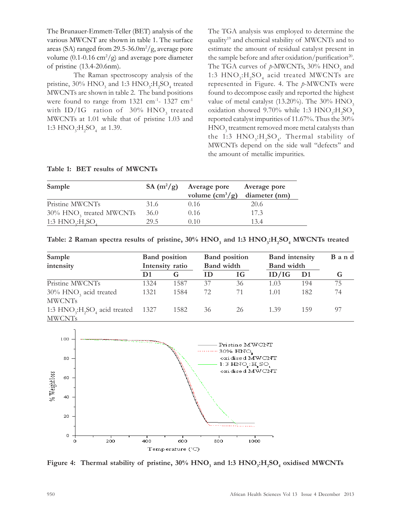The Brunauer-Emmett-Teller (BET) analysis of the various MWCNT are shown in table 1. The surface areas (SA) ranged from  $29.5-36.0 \frac{m^2}{g}$ , average pore volume (0.1-0.16 cm<sup>2</sup>/g) and average pore diameter of pristine (13.4-20.6nm).

The Raman spectroscopy analysis of the pristine,  $30\%$   $\text{HNO}_3$  and  $1:3 \text{ HNO}_3$ : $\text{H}_2\text{SO}_4$  treated MWCNTs are shown in table 2. The band positions were found to range from 1321 cm<sup>-1</sup>- 1327 cm<sup>-1</sup> with ID/IG  $\,$  ration of  $\,$  30%  $\,$  HNO $\,$  treated MWCNTs at 1.01 while that of pristine 1.03 and 1:3  $HNO_3:H_2SO_4$  at 1.39.

The TGA analysis was employed to determine the quality<sup>19</sup> and chemical stability of MWCNTs and to estimate the amount of residual catalyst present in the sample before and after oxidation/purification<sup>20</sup>. The TGA curves of  $p$ -MWCNTs, 30% HNO<sub>3</sub> and 1:3  $HNO<sub>3</sub>:H<sub>2</sub>SO<sub>4</sub>$  acid treated MWCNTs are represented in Figure. 4. The p-MWCNTs were found to decompose easily and reported the highest value of metal catalyst (13.20%). The 30%  $HNO<sub>3</sub>$ oxidation showed 9.70% while 1:3  $HNO<sub>3</sub>:H<sub>2</sub>SO<sub>4</sub>$ reported catalyst impurities of 11.67%. Thus the 30%  $\mathrm{HNO}_3^{}$  treatment removed more metal catalysts than the 1:3  $HNO<sub>3</sub>:H<sub>2</sub>SO<sub>4</sub>$ . Thermal stability of MWCNTs depend on the side wall ''defects'' and the amount of metallic impurities.

|  |  | Table 1: BET results of MWCNTs |
|--|--|--------------------------------|
|  |  |                                |

| Sample                              | SA $(m^2/g)$ | Average pore<br>volume $\text{cm}^3/\text{g}$ | Average pore<br>diameter (nm) |
|-------------------------------------|--------------|-----------------------------------------------|-------------------------------|
| Pristine MWCNTs                     | 31.6         | 0.16                                          | 20.6                          |
| 30% HNO <sub>3</sub> treated MWCNTs | 36.0         | 0.16                                          | 17.3                          |
| 1:3 $HNO2:H2SO4$                    | 29.5         | 0.10                                          | 13.4                          |

| Table: 2 Raman spectra results of pristine, $30\%$ HNO <sub>3</sub> and 1:3 HNO <sub>3</sub> :H <sub>2</sub> SO <sub>4</sub> MWCNTs treated |  |  |  |
|---------------------------------------------------------------------------------------------------------------------------------------------|--|--|--|
|---------------------------------------------------------------------------------------------------------------------------------------------|--|--|--|

| Sample                                                                                       | <b>Band</b> position<br>Intensity ratio |      |    | <b>Band</b> position<br><b>Band</b> width |       | <b>Band</b> intensity<br><b>Band</b> width |    |
|----------------------------------------------------------------------------------------------|-----------------------------------------|------|----|-------------------------------------------|-------|--------------------------------------------|----|
| intensity                                                                                    |                                         |      |    |                                           |       |                                            |    |
|                                                                                              | D1                                      | G    | m  | IG.                                       | ID/IG | D1                                         |    |
| Pristine MWCNTs                                                                              | 1324                                    | 1587 | 37 | 36                                        | 1.03  | 194                                        | 75 |
| $30\%$ HNO <sub>3</sub> acid treated<br><b>MWCNTs</b>                                        | 1321                                    | 1584 | 72 | 71                                        | 1.01  | 182                                        | 74 |
| 1:3 $HNO$ <sub>3</sub> : $H$ <sub>2</sub> SO <sub>4</sub> acid treated 1327<br><b>MWCNTs</b> |                                         | 1582 | 36 | 26                                        | 1.39  | 159                                        | 97 |



Figure 4: Thermal stability of pristine,  $30\%$   $\rm HNO_3$  and 1:3  $\rm HNO_3$ : $\rm H_2SO_4$  oxidised MWCNTs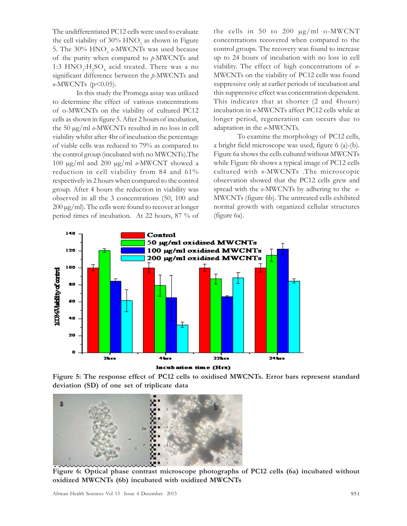The undifferentiated PC12 cells were used to evaluate the cell viability of 30%  $HNO<sub>3</sub>$  as shown in Figure 5. The 30%  $HNO<sub>3</sub>$  o-MWCNTs was used because of the purity when compared to  $p$ -MWCNTs and 1:3  $HNO<sub>3</sub>:H<sub>2</sub>SO<sub>4</sub>$  acid treated. There was a no significant difference between the p-MWCNTs and  $\rho$ -MWCNTs (p<0.05).

In this study the Promega assay was utilized to determine the effect of various concentrations of o-MWCNTs on the viability of cultured PC12 cells as shown in figure 5. After 2 hours of incubation, the 50  $\mu$ g/ml  $\rho$ -MWCNTs resulted in no loss in cell viability whilst after 4hr of incubation the percentage of viable cells was reduced to 79% as compared to the control group (incubated with no MWCNTs).The 100  $\mu$ g/ml and 200  $\mu$ g/ml  $\theta$ -MWCNT showed a reduction in cell viability from 84 and 61% respectively in 2 hours when compared to the control group. After 4 hours the reduction in viability was observed in all the 3 concentrations (50, 100 and  $200 \mu g/ml$ . The cells were found to recover at longer period times of incubation. At 22 hours, 87 % of the cells in 50 to 200  $\mu$ g/ml o-MWCNT concentrations recovered when compared to the control groups. The recovery was found to increase up to 24 hours of incubation with no loss in cell viability. The effect of high concentrations of  $\rho$ -MWCNTs on the viability of PC12 cells was found suppressive only at earlier periods of incubation and this suppressive effect was concentration dependent. This indicates that at shorter (2 and 4hours) incubation in o-MWCNTs affect PC12 cells while at longer period, regeneration can occurs due to adaptation in the o-MWCNTs.

To examine the morphology of PC12 cells, a bright field microscope was used, figure 6 (a)-(b). Figure 6a shows the cells cultured without MWCNTs while Figure 6b shows a typical image of PC12 cells cultured with o-MWCNTs .The microscopic observation showed that the PC12 cells grew and spread with the  $\rho$ -MWCNTs by adhering to the  $\rho$ -MWCNTs (figure 6b). The untreated cells exhibited normal growth with organized cellular structures (figure 6a).



Incubation time (Hrs)





Figure 6: Optical phase contrast microscope photographs of PC12 cells (6a) incubated without oxidized MWCNTs (6b) incubated with oxidized MWCNTs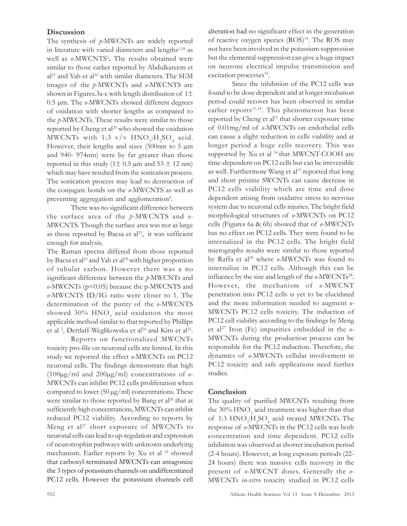## **Discussion**

The synthesis of  $p$ -MWCNTs are widely reported in literature with varied diameters and lengths $1,18$  as well as  $\text{o-MWCNTS}^2$ . The results obtained were similar to those earlier reported by Abdulkareem et al<sup>21</sup> and Yah et al<sup>22</sup> with similar diameters. The SEM images of the p-MWCNTs and o-MWCNTS are shown in Figures.3a-c with length distribution of  $1\pm$  $0.5 \mu$ m. The  $\rho$ -MWCNTs showed different degrees of oxidation with shorter lengths as compared to the p-MWCNTs. These results were similar to those reported by Cheng et al<sup>20</sup> who showed the oxidation MWCNTs with 1:3  $v/v$  HNO<sub>3</sub>:H<sub>2</sub>SO<sub>4</sub> acid. However, their lengths and sizes  $(500nm)$  to 5  $\mu$ m and 940- 974nm) were by far greater than those reported in this study ( $1 \pm 0.5$  µm and  $53 \pm 12$  nm) which may have resulted from the sonication process. The sonication process may lead to destruction of the conjugate bonds on the o-MWCNTS as well as preventing aggregation and agglomeration<sup>4</sup>.

There was no significant difference between the surface area of the  $p$ -MWCNTS and  $q$ -MWCNTS. Though the surface area was not as large as those reported by Bacsa et  $al^{23}$ , it was sufficient enough for analysis.

The Raman spectra differed from those reported by Bacsa et al<sup>23</sup> and Yah et al<sup>18</sup> with higher proportion of tubular carbon. However there was a no significant difference between the p-MWCNTs and  $\rho$ -MWCNTs ( $p$ <0.05) because the p-MWCNTS and o-MWCNTS ID/IG ratio were closer to 1. The determination of the purity of the o-MWCNTS showed 30%  $\rm HNO_3$  acid oxidation the most applicable method similar to that reported by Phillips et al<sup>2</sup>, Dettlaff-Weglikowska et al<sup>24</sup> and Kim et al<sup>25</sup>.

Reports on functionalized MWCNTs toxicity pro-file on neuronal cells are limited. In this study we reported the effect  $\rho$ -MWCNTs on PC12 neuronal cells. The findings demonstrate that high  $(100\mu g/ml$  and  $200\mu g/ml$  concentrations of  $\theta$ -MWCNTs can inhibit PC12 cells proliferation when compared to lower (50  $\mu$ g/ml) concentrations. These were similar to those reported by Bang et  $al^{26}$  that at sufficiently high concentrations, MWCNTs can inhibit reduced PC12 viability. According to reports by Meng et al<sup>27</sup> short exposure of MWCNTs to neuronal cells can lead to up-regulation and expression of neurotrophin pathways with unknown underlying mechanism. Earlier reports by Xu et al <sup>14</sup> showed that carboxyl-terminated MWCNTs can antagonize the 3 types of potassium channels on undifferentiated PC12 cells. However the potassium channels cell

alteration had no significant effect in the generation of reactive oxygen species (ROS)<sup>14</sup>. The ROS may not have been involved in the potassium suppression but the elemental suppression can give a huge impact on neurone electrical impulse transmission and excitation processes<sup>14</sup>.

Since the inhibition of the PC12 cells was found to be dose dependent and at longer incubation period could recover has been observed in similar earlier reports $11,14$ . This phenomenon has been reported by Cheng et al<sup>11</sup> that shorter exposure time of 0.01mg/ml of o-MWCNTs on endothelial cells can cause a slight reduction in cells viability and at longer period a huge cells recovery. This was supported by Xu et al <sup>14</sup> that MWCNT-COOH are time-dependent on PC12 cells but can be irreversible as well. Furthermore Wang et al<sup>15</sup> reported that long and short pristine SWCNTs can cause decrease in PC12 cells viability which are time and dose dependent arising from oxidative stress to nervous system due to neuronal cells injuries. The bright field morphological structures of  $\rho$ -MWCNTs on PC12 cells (Figures 6a & 6b) showed that of  $\rho$ -MWCNTs has no effect on PC12 cells. They were found to be internalized in the PC12 cells. The bright field micrographs results were similar to those reported by Raffa et al<sup>28</sup> where o-MWCNTs was found to internalize in PC12 cells. Although this can be influence by the size and length of the  $\textit{o}$ -MWCNTs<sup>28</sup>.However, the mechanism of o-MWCNT penetration into PC12 cells is yet to be elucidated and the more information needed to augment o-MWCNTs PC12 cells toxicity. The induction of PC12 cell viability according to the findings by Meng et al<sup>27</sup> Iron (Fe) impurities embedded in the  $\theta$ -MWCNTs during the production process can be responsible for the PC12 induction. Therefore, the dynamics of o-MWCNTs cellular involvement in PC12 toxicity and safe applications need further studies.

#### Conclusion

The quality of purified MWCNTs resulting from the 30%  $\mathrm{HNO}_3^{}$  acid treatment was higher than that of 1:3  $HNO<sub>3</sub>:H<sub>2</sub>SO<sub>4</sub>$  acid treated MWCNTs. The response of o-MWCNTs in the PC12 cells was both concentration and time dependent. PC12 cells inhibition was observed at shorter incubation period (2-4 hours). However, at long exposure periods (22- 24 hours) there was massive cells recovery in the present of o-MWCNT doses. Generally the o-MWCNTs in-vitro toxicity studied in PC12 cells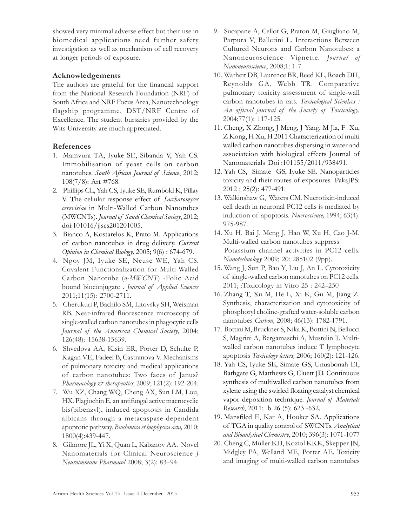showed very minimal adverse effect but their use in biomedical applications need further safety investigation as well as mechanism of cell recovery at longer periods of exposure.

## Acknowledgements

The authors are grateful for the financial support from the National Research Foundation (NRF) of South Africa and NRF Focus Area, Nanotechnology flagship programme, DST/NRF Centre of Excellence. The student bursaries provided by the Wits University are much appreciated.

# References

- 1. Mamvura TA, Iyuke SE, Sibanda V, Yah CS. Immobilisation of yeast cells on carbon nanotubes. South African Journal of Science, 2012; 108(7/8): Art #768.
- 2. Phillips CL, Yah CS, Iyuke SE, Rumbold K, Pillay V. The cellular response effect of Saccharomyces cerevisiae in Multi-Walled Carbon Nanotubes (MWCNTs). Journal of Saudi Chemical Society, 2012; doi:101016/jjscs201201005.
- 3. Bianco A, Kostarelos K, Prato M. Applications of carbon nanotubes in drug delivery. Current Opinion in Chemical Biology, 2005; 9(6) : 674-679.
- 4. Ngoy JM, Iyuke SE, Neuse WE, Yah CS. Covalent Functionalization for Multi-Walled Carbon Nanotube (o-MWCNT) -Folic Acid bound bioconjugate. Journal of Applied Sciences 2011;11(15): 2700-2711.
- 5. Cherukuri P, Bachilo SM, Litovsky SH, Weisman RB. Near-infrared fluorescence microscopy of single-walled carbon nanotubes in phagocytic cells Journal of the American Chemical Society, 2004; 126(48): 15638-15639.
- 6. Shvedova AA, Kisin ER, Porter D, Schulte P, Kagan VE, Fadeel B, Castranova V. Mechanisms of pulmonary toxicity and medical applications of carbon nanotubes: Two faces of Janus? Pharmacology  $\mathcal{Q}^*$  therapeutics, 2009; 121(2): 192-204.
- 7. Wu XZ, Chang WQ, Cheng AX, Sun LM, Lou, HX. Plagiochin E, an antifungal active macrocyclic bis(bibenzyl), induced apoptosis in Candida albicans through a metacaspase-dependent apoptotic pathway. Biochimica et biophysica acta, 2010; 1800(4):439-447.
- 8. Gilmore JL, Yi X, Quan L, Kabanov AA. Novel Nanomaterials for Clinical Neuroscience J Neuroimmune Pharmacol 2008; 3(2): 83–94.
- 9. Sucapane A, Cellot G, Praton M, Giugliano M, Parpura V, Ballerini L. Interactions Between Cultured Neurons and Carbon Nanotubes: a Nanoneuroscience Vignette. Journal of Nanoneuroscience, 2008;1: 1-7.
- 10. Warheit DB, Laurence BR, Reed KL, Roach DH, Reynolds GA, Webb TR. Comparative pulmonary toxicity assessment of single-wall carbon nanotubes in rats. Toxicological ScienIces : An official journal of the Society of Toxicology, 2004;77(1): 117-125.
- 11. Cheng, X Zhong, J Meng, J Yang, M Jia, F Xu, Z Kong, H Xu, H 2011 Characterization of multi walled carbon nanotubes dispersing in water and associateion with biological effects Journal of Nanomaterials Doi :101155/2011/938491.
- 12. Yah CS, Simate GS, Iyuke SE. Nanoparticles toxicity and their routes of exposures PaksJPS: 2012 ; 25(2): 477-491.
- 13. Walkinshaw G, Waters CM. Nuerotixin-induced cell death in neuronal PC12 cells is mediated by induction of apoptosis. Nueroscience, 1994; 63(4): 975-987.
- 14. Xu H, Bai J, Meng J, Hao W, Xu H, Cao J-M. Multi-walled carbon nanotubes suppress Potassium channel activities in PC12 cells. Nanotechnology 2009; 20: 285102 (9pp).
- 15. Wang J, Sun P, Bao Y, Liu J, An L. Cytotoxicity of single-walled carbon nanotubes on PC12 cells. 2011; :Toxicology in Vitro 25 : 242–250
- 16. Zhang T, Xu M, He L, Xi K, Gu M, Jiang Z. Synthesis, characterization and cytotoxicity of phosphoryl choline-grafted water-soluble carbon nanotubes Carbon, 2008; 46(13): 1782-1791.
- 17. Bottini M, Bruckner S, Nika K, Bottini N, Bellucci S, Magrini A, Bergamaschi A, Mustelin T. Multiwalled carbon nanotubes induce T lymphocyte apoptosis Toxicology letters, 2006; 160(2): 121-126.
- 18. Yah CS, Iyuke SE, Simate GS, Unuabonah EI, Bathgate G, Matthews G, Cluett JD. Continuous synthesis of multiwalled carbon nanotubes from xylene using the swirled floating catalyst chemical vapor deposition technique. Journal of Materials Research, 2011; b 26 (5): 623 -632.
- 19. Mansfiled E, Kar A, Hooker SA. Applications of TGA in quality control of SWCNTs. Analytical and Bioanlytical Chemistry, 2010; 396(3): 1071-1077
- 20. Cheng C, Müller KH, Koziol KKK, Skepper JN, Midgley PA, Welland ME, Porter AE. Toxicity and imaging of multi-walled carbon nanotubes